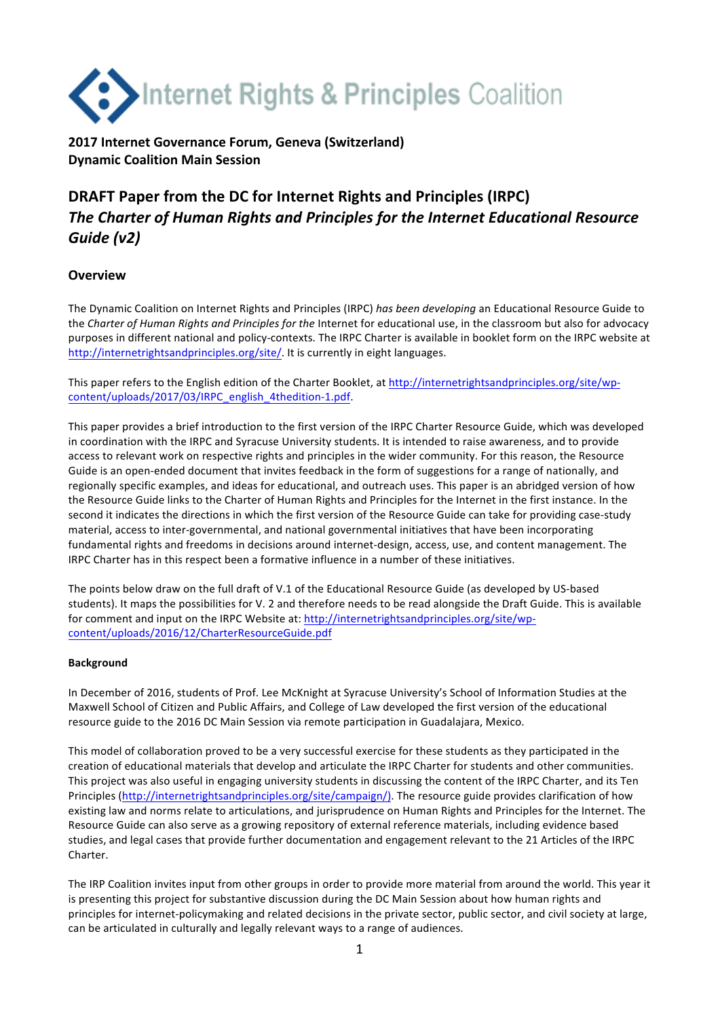

# **2017 Internet Governance Forum, Geneva (Switzerland) Dynamic Coalition Main Session**

# **DRAFT** Paper from the DC for Internet Rights and Principles (IRPC) **The Charter of Human Rights and Principles for the Internet Educational Resource** *Guide (v2)*

## **Overview**

The Dynamic Coalition on Internet Rights and Principles (IRPC) has been developing an Educational Resource Guide to the *Charter of Human Rights and Principles for the Internet for educational use*, in the classroom but also for advocacy purposes in different national and policy-contexts. The IRPC Charter is available in booklet form on the IRPC website at http://internetrightsandprinciples.org/site/. It is currently in eight languages.

This paper refers to the English edition of the Charter Booklet, at http://internetrightsandprinciples.org/site/wpcontent/uploads/2017/03/IRPC\_english\_4thedition-1.pdf.

This paper provides a brief introduction to the first version of the IRPC Charter Resource Guide, which was developed in coordination with the IRPC and Syracuse University students. It is intended to raise awareness, and to provide access to relevant work on respective rights and principles in the wider community. For this reason, the Resource Guide is an open-ended document that invites feedback in the form of suggestions for a range of nationally, and regionally specific examples, and ideas for educational, and outreach uses. This paper is an abridged version of how the Resource Guide links to the Charter of Human Rights and Principles for the Internet in the first instance. In the second it indicates the directions in which the first version of the Resource Guide can take for providing case-study material, access to inter-governmental, and national governmental initiatives that have been incorporating fundamental rights and freedoms in decisions around internet-design, access, use, and content management. The IRPC Charter has in this respect been a formative influence in a number of these initiatives.

The points below draw on the full draft of V.1 of the Educational Resource Guide (as developed by US-based students). It maps the possibilities for V. 2 and therefore needs to be read alongside the Draft Guide. This is available for comment and input on the IRPC Website at: http://internetrightsandprinciples.org/site/wpcontent/uploads/2016/12/CharterResourceGuide.pdf

## **Background**

In December of 2016, students of Prof. Lee McKnight at Syracuse University's School of Information Studies at the Maxwell School of Citizen and Public Affairs, and College of Law developed the first version of the educational resource guide to the 2016 DC Main Session via remote participation in Guadalajara, Mexico.

This model of collaboration proved to be a very successful exercise for these students as they participated in the creation of educational materials that develop and articulate the IRPC Charter for students and other communities. This project was also useful in engaging university students in discussing the content of the IRPC Charter, and its Ten Principles (http://internetrightsandprinciples.org/site/campaign/). The resource guide provides clarification of how existing law and norms relate to articulations, and jurisprudence on Human Rights and Principles for the Internet. The Resource Guide can also serve as a growing repository of external reference materials, including evidence based studies, and legal cases that provide further documentation and engagement relevant to the 21 Articles of the IRPC Charter.

The IRP Coalition invites input from other groups in order to provide more material from around the world. This year it is presenting this project for substantive discussion during the DC Main Session about how human rights and principles for internet-policymaking and related decisions in the private sector, public sector, and civil society at large, can be articulated in culturally and legally relevant ways to a range of audiences.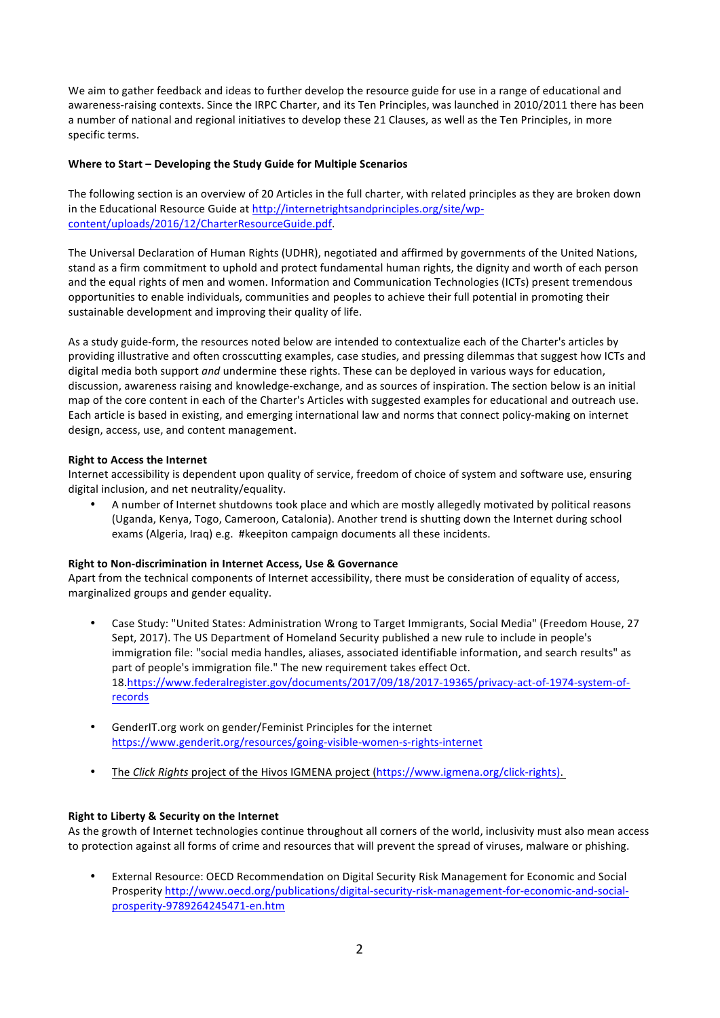We aim to gather feedback and ideas to further develop the resource guide for use in a range of educational and awareness-raising contexts. Since the IRPC Charter, and its Ten Principles, was launched in 2010/2011 there has been a number of national and regional initiatives to develop these 21 Clauses, as well as the Ten Principles, in more specific terms.

#### **Where to Start - Developing the Study Guide for Multiple Scenarios**

The following section is an overview of 20 Articles in the full charter, with related principles as they are broken down in the Educational Resource Guide at http://internetrightsandprinciples.org/site/wpcontent/uploads/2016/12/CharterResourceGuide.pdf. 

The Universal Declaration of Human Rights (UDHR), negotiated and affirmed by governments of the United Nations, stand as a firm commitment to uphold and protect fundamental human rights, the dignity and worth of each person and the equal rights of men and women. Information and Communication Technologies (ICTs) present tremendous opportunities to enable individuals, communities and peoples to achieve their full potential in promoting their sustainable development and improving their quality of life.

As a study guide-form, the resources noted below are intended to contextualize each of the Charter's articles by providing illustrative and often crosscutting examples, case studies, and pressing dilemmas that suggest how ICTs and digital media both support *and* undermine these rights. These can be deployed in various ways for education, discussion, awareness raising and knowledge-exchange, and as sources of inspiration. The section below is an initial map of the core content in each of the Charter's Articles with suggested examples for educational and outreach use. Each article is based in existing, and emerging international law and norms that connect policy-making on internet design, access, use, and content management.

#### **Right to Access the Internet**

Internet accessibility is dependent upon quality of service, freedom of choice of system and software use, ensuring digital inclusion, and net neutrality/equality.

A number of Internet shutdowns took place and which are mostly allegedly motivated by political reasons (Uganda, Kenya, Togo, Cameroon, Catalonia). Another trend is shutting down the Internet during school exams (Algeria, Iraq) e.g. #keepiton campaign documents all these incidents.

#### **Right to Non-discrimination in Internet Access, Use & Governance**

Apart from the technical components of Internet accessibility, there must be consideration of equality of access, marginalized groups and gender equality.

- Case Study: "United States: Administration Wrong to Target Immigrants, Social Media" (Freedom House, 27 Sept, 2017). The US Department of Homeland Security published a new rule to include in people's immigration file: "social media handles, aliases, associated identifiable information, and search results" as part of people's immigration file." The new requirement takes effect Oct. 18.https://www.federalregister.gov/documents/2017/09/18/2017-19365/privacy-act-of-1974-system-ofrecords
- GenderIT.org work on gender/Feminist Principles for the internet https://www.genderit.org/resources/going-visible-women-s-rights-internet
- The *Click Rights* project of the Hivos IGMENA project (https://www.igmena.org/click-rights).

## **Right to Liberty & Security on the Internet**

As the growth of Internet technologies continue throughout all corners of the world, inclusivity must also mean access to protection against all forms of crime and resources that will prevent the spread of viruses, malware or phishing.

External Resource: OECD Recommendation on Digital Security Risk Management for Economic and Social Prosperity http://www.oecd.org/publications/digital-security-risk-management-for-economic-and-socialprosperity-9789264245471-en.htm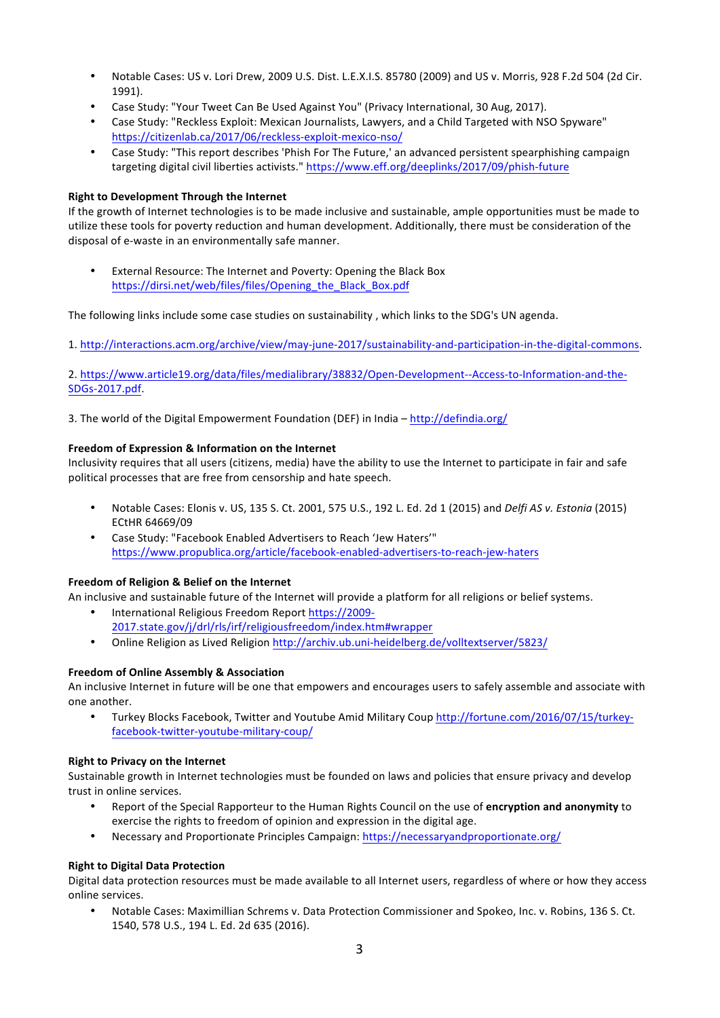- Notable Cases: US v. Lori Drew, 2009 U.S. Dist. L.E.X.I.S. 85780 (2009) and US v. Morris, 928 F.2d 504 (2d Cir. 1991).
- Case Study: "Your Tweet Can Be Used Against You" (Privacy International, 30 Aug, 2017).
- Case Study: "Reckless Exploit: Mexican Journalists, Lawyers, and a Child Targeted with NSO Spyware" https://citizenlab.ca/2017/06/reckless-exploit-mexico-nso/
- Case Study: "This report describes 'Phish For The Future,' an advanced persistent spearphishing campaign targeting digital civil liberties activists." https://www.eff.org/deeplinks/2017/09/phish-future

#### **Right to Development Through the Internet**

If the growth of Internet technologies is to be made inclusive and sustainable, ample opportunities must be made to utilize these tools for poverty reduction and human development. Additionally, there must be consideration of the disposal of e-waste in an environmentally safe manner.

External Resource: The Internet and Poverty: Opening the Black Box https://dirsi.net/web/files/files/Opening\_the\_Black\_Box.pdf

The following links include some case studies on sustainability, which links to the SDG's UN agenda.

1. http://interactions.acm.org/archive/view/may-june-2017/sustainability-and-participation-in-the-digital-commons.

2. https://www.article19.org/data/files/medialibrary/38832/Open-Development--Access-to-Information-and-the-SDGs-2017.pdf.

3. The world of the Digital Empowerment Foundation (DEF) in India - http://defindia.org/

#### **Freedom of Expression & Information on the Internet**

Inclusivity requires that all users (citizens, media) have the ability to use the Internet to participate in fair and safe political processes that are free from censorship and hate speech.

- Notable Cases: Elonis v. US, 135 S. Ct. 2001, 575 U.S., 192 L. Ed. 2d 1 (2015) and *Delfi AS v. Estonia* (2015) ECtHR 64669/09
- Case Study: "Facebook Enabled Advertisers to Reach 'Jew Haters'" https://www.propublica.org/article/facebook-enabled-advertisers-to-reach-jew-haters

#### Freedom of Religion & Belief on the Internet

An inclusive and sustainable future of the Internet will provide a platform for all religions or belief systems.

- International Religious Freedom Report https://2009-2017.state.gov/j/drl/rls/irf/religiousfreedom/index.htm#wrapper
- Online Religion as Lived Religion http://archiv.ub.uni-heidelberg.de/volltextserver/5823/

#### **Freedom of Online Assembly & Association**

An inclusive Internet in future will be one that empowers and encourages users to safely assemble and associate with one another.

Turkey Blocks Facebook, Twitter and Youtube Amid Military Coup http://fortune.com/2016/07/15/turkeyfacebook-twitter-youtube-military-coup/

#### **Right to Privacy on the Internet**

Sustainable growth in Internet technologies must be founded on laws and policies that ensure privacy and develop trust in online services.

- Report of the Special Rapporteur to the Human Rights Council on the use of *encryption and anonymity* to exercise the rights to freedom of opinion and expression in the digital age.
- Necessary and Proportionate Principles Campaign: https://necessaryandproportionate.org/

#### **Right to Digital Data Protection**

Digital data protection resources must be made available to all Internet users, regardless of where or how they access online services.

Notable Cases: Maximillian Schrems v. Data Protection Commissioner and Spokeo, Inc. v. Robins, 136 S. Ct. 1540, 578 U.S., 194 L. Ed. 2d 635 (2016).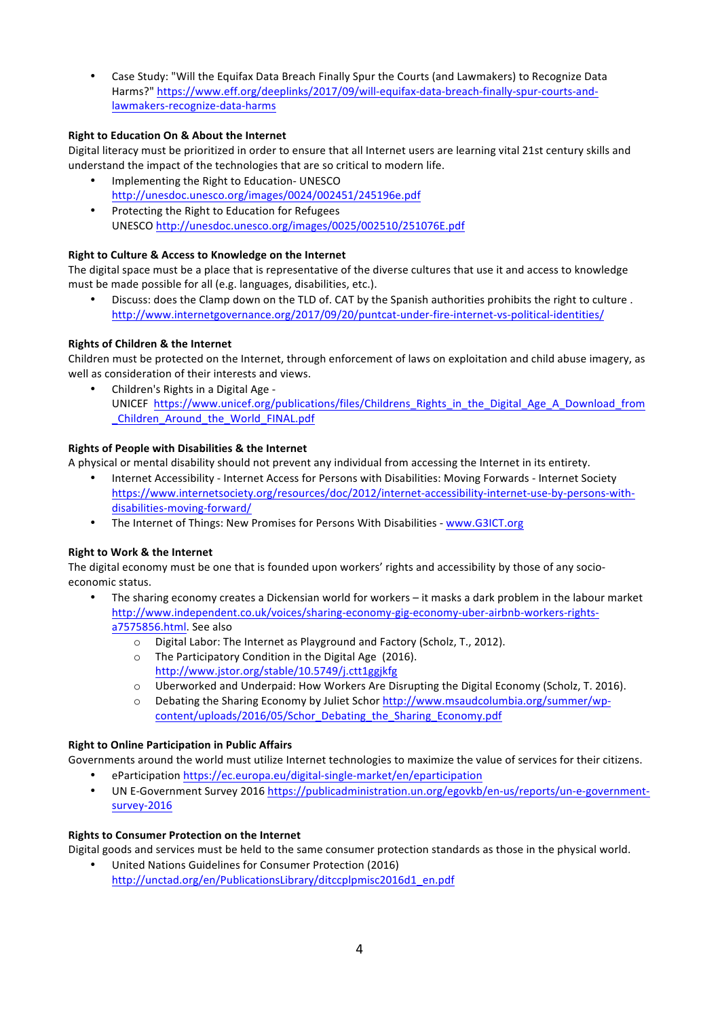• Case Study: "Will the Equifax Data Breach Finally Spur the Courts (and Lawmakers) to Recognize Data Harms?" https://www.eff.org/deeplinks/2017/09/will-equifax-data-breach-finally-spur-courts-andlawmakers-recognize-data-harms

## **Right to Education On & About the Internet**

Digital literacy must be prioritized in order to ensure that all Internet users are learning vital 21st century skills and understand the impact of the technologies that are so critical to modern life.

- Implementing the Right to Education- UNESCO http://unesdoc.unesco.org/images/0024/002451/245196e.pdf
- Protecting the Right to Education for Refugees UNESCO http://unesdoc.unesco.org/images/0025/002510/251076E.pdf

## **Right to Culture & Access to Knowledge on the Internet**

The digital space must be a place that is representative of the diverse cultures that use it and access to knowledge must be made possible for all (e.g. languages, disabilities, etc.).

• Discuss: does the Clamp down on the TLD of. CAT by the Spanish authorities prohibits the right to culture. http://www.internetgovernance.org/2017/09/20/puntcat-under-fire-internet-vs-political-identities/

## **Rights of Children & the Internet**

Children must be protected on the Internet, through enforcement of laws on exploitation and child abuse imagery, as well as consideration of their interests and views.

Children's Rights in a Digital Age -UNICEF https://www.unicef.org/publications/files/Childrens\_Rights\_in\_the\_Digital\_Age\_A\_Download\_from \_Children\_Around\_the\_World\_FINAL.pdf

## **Rights of People with Disabilities & the Internet**

A physical or mental disability should not prevent any individual from accessing the Internet in its entirety.

- Internet Accessibility Internet Access for Persons with Disabilities: Moving Forwards Internet Society https://www.internetsociety.org/resources/doc/2012/internet-accessibility-internet-use-by-persons-withdisabilities-moving-forward/
- The Internet of Things: New Promises for Persons With Disabilities www.G3ICT.org

## **Right to Work & the Internet**

The digital economy must be one that is founded upon workers' rights and accessibility by those of any socioeconomic status.

- The sharing economy creates a Dickensian world for workers it masks a dark problem in the labour market http://www.independent.co.uk/voices/sharing-economy-gig-economy-uber-airbnb-workers-rightsa7575856.html. See also
	- $\circ$  Digital Labor: The Internet as Playground and Factory (Scholz, T., 2012).
	- $\circ$  The Participatory Condition in the Digital Age (2016). http://www.jstor.org/stable/10.5749/j.ctt1ggjkfg
	- $\circ$  Uberworked and Underpaid: How Workers Are Disrupting the Digital Economy (Scholz, T. 2016).
	- $\circ$  Debating the Sharing Economy by Juliet Schor http://www.msaudcolumbia.org/summer/wpcontent/uploads/2016/05/Schor\_Debating\_the\_Sharing\_Economy.pdf

## **Right to Online Participation in Public Affairs**

Governments around the world must utilize Internet technologies to maximize the value of services for their citizens. • eParticipation https://ec.europa.eu/digital-single-market/en/eparticipation

• UN E-Government Survey 2016 https://publicadministration.un.org/egovkb/en-us/reports/un-e-governmentsurvey-2016

## **Rights to Consumer Protection on the Internet**

Digital goods and services must be held to the same consumer protection standards as those in the physical world.

United Nations Guidelines for Consumer Protection (2016) http://unctad.org/en/PublicationsLibrary/ditccplpmisc2016d1\_en.pdf